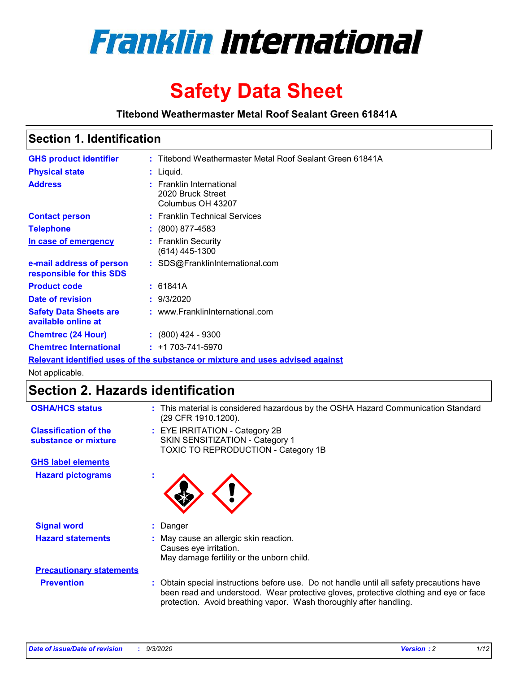

# **Safety Data Sheet**

**Titebond Weathermaster Metal Roof Sealant Green 61841A**

### **Section 1. Identification**

| <b>GHS product identifier</b>                                                 |  | : Titebond Weathermaster Metal Roof Sealant Green 61841A           |  |
|-------------------------------------------------------------------------------|--|--------------------------------------------------------------------|--|
| <b>Physical state</b>                                                         |  | $:$ Liquid.                                                        |  |
| <b>Address</b>                                                                |  | : Franklin International<br>2020 Bruck Street<br>Columbus OH 43207 |  |
| <b>Contact person</b>                                                         |  | : Franklin Technical Services                                      |  |
| <b>Telephone</b>                                                              |  | $\div$ (800) 877-4583                                              |  |
| In case of emergency                                                          |  | : Franklin Security<br>(614) 445-1300                              |  |
| e-mail address of person<br>responsible for this SDS                          |  | : SDS@FranklinInternational.com                                    |  |
| <b>Product code</b>                                                           |  | : 61841A                                                           |  |
| Date of revision                                                              |  | : 9/3/2020                                                         |  |
| <b>Safety Data Sheets are</b><br>available online at                          |  | : www.FranklinInternational.com                                    |  |
| <b>Chemtrec (24 Hour)</b>                                                     |  | $\div$ (800) 424 - 9300                                            |  |
| <b>Chemtrec International</b>                                                 |  | $: +1703 - 741 - 5970$                                             |  |
| Relevant identified uses of the substance or mixture and uses advised against |  |                                                                    |  |

Not applicable.

## **Section 2. Hazards identification**

| <b>OSHA/HCS status</b>                               |    | : This material is considered hazardous by the OSHA Hazard Communication Standard<br>(29 CFR 1910.1200).                                                                                                                                                 |
|------------------------------------------------------|----|----------------------------------------------------------------------------------------------------------------------------------------------------------------------------------------------------------------------------------------------------------|
| <b>Classification of the</b><br>substance or mixture |    | : EYE IRRITATION - Category 2B<br>SKIN SENSITIZATION - Category 1<br>TOXIC TO REPRODUCTION - Category 1B                                                                                                                                                 |
| <b>GHS label elements</b>                            |    |                                                                                                                                                                                                                                                          |
| <b>Hazard pictograms</b>                             | ×. |                                                                                                                                                                                                                                                          |
| <b>Signal word</b>                                   | ÷. | Danger                                                                                                                                                                                                                                                   |
| <b>Hazard statements</b>                             |    | May cause an allergic skin reaction.<br>Causes eye irritation.<br>May damage fertility or the unborn child.                                                                                                                                              |
| <b>Precautionary statements</b>                      |    |                                                                                                                                                                                                                                                          |
| <b>Prevention</b>                                    |    | : Obtain special instructions before use. Do not handle until all safety precautions have<br>been read and understood. Wear protective gloves, protective clothing and eye or face<br>protection. Avoid breathing vapor. Wash thoroughly after handling. |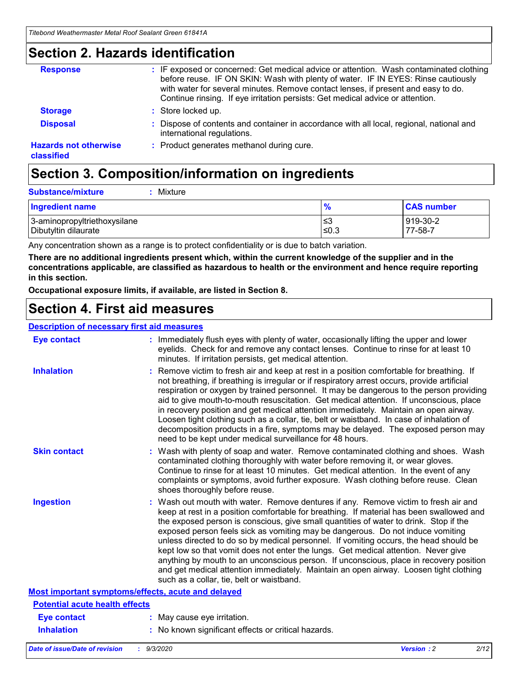### **Section 2. Hazards identification**

| <b>Response</b>                            | : IF exposed or concerned: Get medical advice or attention. Wash contaminated clothing<br>before reuse. IF ON SKIN: Wash with plenty of water. IF IN EYES: Rinse cautiously<br>with water for several minutes. Remove contact lenses, if present and easy to do.<br>Continue rinsing. If eye irritation persists: Get medical advice or attention. |
|--------------------------------------------|----------------------------------------------------------------------------------------------------------------------------------------------------------------------------------------------------------------------------------------------------------------------------------------------------------------------------------------------------|
| <b>Storage</b>                             | : Store locked up.                                                                                                                                                                                                                                                                                                                                 |
| <b>Disposal</b>                            | : Dispose of contents and container in accordance with all local, regional, national and<br>international regulations.                                                                                                                                                                                                                             |
| <b>Hazards not otherwise</b><br>classified | : Product generates methanol during cure.                                                                                                                                                                                                                                                                                                          |

# **Section 3. Composition/information on ingredients**

| <b>Substance/mixture</b> |  | : Mixture |
|--------------------------|--|-----------|
|--------------------------|--|-----------|

| <b>Ingredient name</b>       | $\frac{9}{6}$ | <b>CAS number</b> |
|------------------------------|---------------|-------------------|
| 3-aminopropyltriethoxysilane | ≤3            | 919-30-2          |
| Dibutyltin dilaurate         | ∣≤0.3         | 77-58-7           |

Any concentration shown as a range is to protect confidentiality or is due to batch variation.

**There are no additional ingredients present which, within the current knowledge of the supplier and in the concentrations applicable, are classified as hazardous to health or the environment and hence require reporting in this section.**

**Occupational exposure limits, if available, are listed in Section 8.**

### **Section 4. First aid measures**

| <b>Description of necessary first aid measures</b> |                                                                                                                                                                                                                                                                                                                                                                                                                                                                                                                                                                                                                                                                                                                                                                           |
|----------------------------------------------------|---------------------------------------------------------------------------------------------------------------------------------------------------------------------------------------------------------------------------------------------------------------------------------------------------------------------------------------------------------------------------------------------------------------------------------------------------------------------------------------------------------------------------------------------------------------------------------------------------------------------------------------------------------------------------------------------------------------------------------------------------------------------------|
| <b>Eye contact</b>                                 | : Immediately flush eyes with plenty of water, occasionally lifting the upper and lower<br>eyelids. Check for and remove any contact lenses. Continue to rinse for at least 10<br>minutes. If irritation persists, get medical attention.                                                                                                                                                                                                                                                                                                                                                                                                                                                                                                                                 |
| <b>Inhalation</b>                                  | : Remove victim to fresh air and keep at rest in a position comfortable for breathing. If<br>not breathing, if breathing is irregular or if respiratory arrest occurs, provide artificial<br>respiration or oxygen by trained personnel. It may be dangerous to the person providing<br>aid to give mouth-to-mouth resuscitation. Get medical attention. If unconscious, place<br>in recovery position and get medical attention immediately. Maintain an open airway.<br>Loosen tight clothing such as a collar, tie, belt or waistband. In case of inhalation of<br>decomposition products in a fire, symptoms may be delayed. The exposed person may<br>need to be kept under medical surveillance for 48 hours.                                                       |
| <b>Skin contact</b>                                | : Wash with plenty of soap and water. Remove contaminated clothing and shoes. Wash<br>contaminated clothing thoroughly with water before removing it, or wear gloves.<br>Continue to rinse for at least 10 minutes. Get medical attention. In the event of any<br>complaints or symptoms, avoid further exposure. Wash clothing before reuse. Clean<br>shoes thoroughly before reuse.                                                                                                                                                                                                                                                                                                                                                                                     |
| <b>Ingestion</b>                                   | : Wash out mouth with water. Remove dentures if any. Remove victim to fresh air and<br>keep at rest in a position comfortable for breathing. If material has been swallowed and<br>the exposed person is conscious, give small quantities of water to drink. Stop if the<br>exposed person feels sick as vomiting may be dangerous. Do not induce vomiting<br>unless directed to do so by medical personnel. If vomiting occurs, the head should be<br>kept low so that vomit does not enter the lungs. Get medical attention. Never give<br>anything by mouth to an unconscious person. If unconscious, place in recovery position<br>and get medical attention immediately. Maintain an open airway. Loosen tight clothing<br>such as a collar, tie, belt or waistband. |
| Most important symptoms/effects, acute and delayed |                                                                                                                                                                                                                                                                                                                                                                                                                                                                                                                                                                                                                                                                                                                                                                           |
| <b>Potential acute health effects</b>              |                                                                                                                                                                                                                                                                                                                                                                                                                                                                                                                                                                                                                                                                                                                                                                           |
| <b>Eye contact</b>                                 | : May cause eye irritation.                                                                                                                                                                                                                                                                                                                                                                                                                                                                                                                                                                                                                                                                                                                                               |
| <b>Inhalation</b>                                  | : No known significant effects or critical hazards.                                                                                                                                                                                                                                                                                                                                                                                                                                                                                                                                                                                                                                                                                                                       |
|                                                    |                                                                                                                                                                                                                                                                                                                                                                                                                                                                                                                                                                                                                                                                                                                                                                           |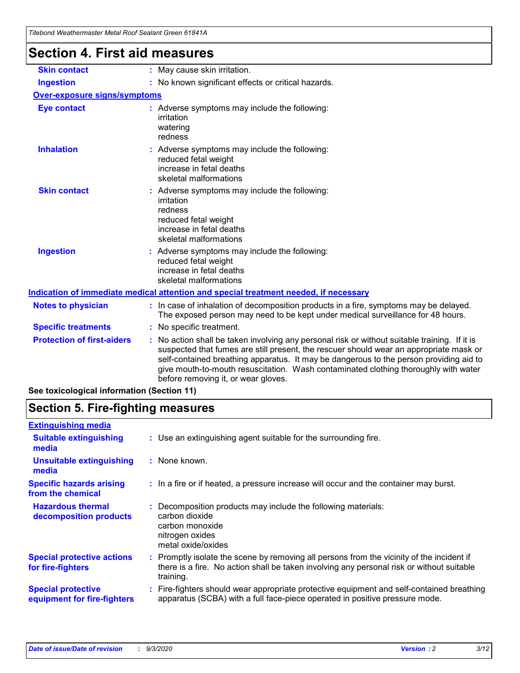|                                      | i ilgioilu Wealilgiiliasidi Mciai Nuul Sealaht Silgii 010417                                                                                                                                                                                                                                                                                                                                                  |
|--------------------------------------|---------------------------------------------------------------------------------------------------------------------------------------------------------------------------------------------------------------------------------------------------------------------------------------------------------------------------------------------------------------------------------------------------------------|
| <b>Section 4. First aid measures</b> |                                                                                                                                                                                                                                                                                                                                                                                                               |
| <b>Skin contact</b>                  | : May cause skin irritation.                                                                                                                                                                                                                                                                                                                                                                                  |
| <b>Ingestion</b>                     | : No known significant effects or critical hazards.                                                                                                                                                                                                                                                                                                                                                           |
| <b>Over-exposure signs/symptoms</b>  |                                                                                                                                                                                                                                                                                                                                                                                                               |
| <b>Eye contact</b>                   | : Adverse symptoms may include the following:<br>irritation<br>watering<br>redness                                                                                                                                                                                                                                                                                                                            |
| <b>Inhalation</b>                    | : Adverse symptoms may include the following:<br>reduced fetal weight<br>increase in fetal deaths<br>skeletal malformations                                                                                                                                                                                                                                                                                   |
| <b>Skin contact</b>                  | : Adverse symptoms may include the following:<br>irritation<br>redness<br>reduced fetal weight<br>increase in fetal deaths<br>skeletal malformations                                                                                                                                                                                                                                                          |
| <b>Ingestion</b>                     | : Adverse symptoms may include the following:<br>reduced fetal weight<br>increase in fetal deaths<br>skeletal malformations                                                                                                                                                                                                                                                                                   |
|                                      | Indication of immediate medical attention and special treatment needed, if necessary                                                                                                                                                                                                                                                                                                                          |
| <b>Notes to physician</b>            | : In case of inhalation of decomposition products in a fire, symptoms may be delayed.<br>The exposed person may need to be kept under medical surveillance for 48 hours.                                                                                                                                                                                                                                      |
| <b>Specific treatments</b>           | : No specific treatment.                                                                                                                                                                                                                                                                                                                                                                                      |
| <b>Protection of first-aiders</b>    | No action shall be taken involving any personal risk or without suitable training. If it is<br>suspected that fumes are still present, the rescuer should wear an appropriate mask or<br>self-contained breathing apparatus. It may be dangerous to the person providing aid to<br>give mouth-to-mouth resuscitation. Wash contaminated clothing thoroughly with water<br>before removing it, or wear gloves. |

**See toxicological information (Section 11)**

### **Section 5. Fire-fighting measures**

| <b>Extinguishing media</b>                               |                                                                                                                                                                                                     |
|----------------------------------------------------------|-----------------------------------------------------------------------------------------------------------------------------------------------------------------------------------------------------|
| <b>Suitable extinguishing</b><br>media                   | : Use an extinguishing agent suitable for the surrounding fire.                                                                                                                                     |
| <b>Unsuitable extinguishing</b><br>media                 | : None known.                                                                                                                                                                                       |
| <b>Specific hazards arising</b><br>from the chemical     | : In a fire or if heated, a pressure increase will occur and the container may burst.                                                                                                               |
| <b>Hazardous thermal</b><br>decomposition products       | Decomposition products may include the following materials:<br>carbon dioxide<br>carbon monoxide<br>nitrogen oxides<br>metal oxide/oxides                                                           |
| <b>Special protective actions</b><br>for fire-fighters   | : Promptly isolate the scene by removing all persons from the vicinity of the incident if<br>there is a fire. No action shall be taken involving any personal risk or without suitable<br>training. |
| <b>Special protective</b><br>equipment for fire-fighters | Fire-fighters should wear appropriate protective equipment and self-contained breathing<br>apparatus (SCBA) with a full face-piece operated in positive pressure mode.                              |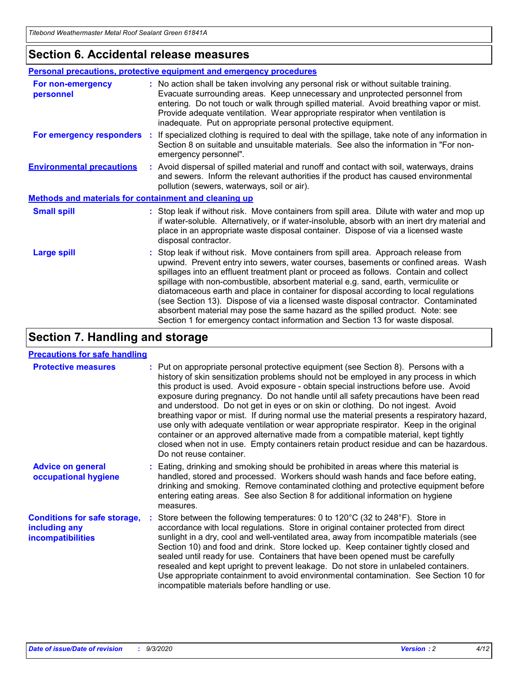### **Section 6. Accidental release measures**

|                                                              | Personal precautions, protective equipment and emergency procedures                                                                                                                                                                                                                                                                                                                                                                                                                                                                                                                                                                                                                                          |  |  |  |
|--------------------------------------------------------------|--------------------------------------------------------------------------------------------------------------------------------------------------------------------------------------------------------------------------------------------------------------------------------------------------------------------------------------------------------------------------------------------------------------------------------------------------------------------------------------------------------------------------------------------------------------------------------------------------------------------------------------------------------------------------------------------------------------|--|--|--|
| For non-emergency<br>personnel                               | : No action shall be taken involving any personal risk or without suitable training.<br>Evacuate surrounding areas. Keep unnecessary and unprotected personnel from<br>entering. Do not touch or walk through spilled material. Avoid breathing vapor or mist.<br>Provide adequate ventilation. Wear appropriate respirator when ventilation is<br>inadequate. Put on appropriate personal protective equipment.                                                                                                                                                                                                                                                                                             |  |  |  |
| For emergency responders                                     | : If specialized clothing is required to deal with the spillage, take note of any information in<br>Section 8 on suitable and unsuitable materials. See also the information in "For non-<br>emergency personnel".                                                                                                                                                                                                                                                                                                                                                                                                                                                                                           |  |  |  |
| <b>Environmental precautions</b>                             | : Avoid dispersal of spilled material and runoff and contact with soil, waterways, drains<br>and sewers. Inform the relevant authorities if the product has caused environmental<br>pollution (sewers, waterways, soil or air).                                                                                                                                                                                                                                                                                                                                                                                                                                                                              |  |  |  |
| <b>Methods and materials for containment and cleaning up</b> |                                                                                                                                                                                                                                                                                                                                                                                                                                                                                                                                                                                                                                                                                                              |  |  |  |
| <b>Small spill</b>                                           | : Stop leak if without risk. Move containers from spill area. Dilute with water and mop up<br>if water-soluble. Alternatively, or if water-insoluble, absorb with an inert dry material and<br>place in an appropriate waste disposal container. Dispose of via a licensed waste<br>disposal contractor.                                                                                                                                                                                                                                                                                                                                                                                                     |  |  |  |
| <b>Large spill</b>                                           | : Stop leak if without risk. Move containers from spill area. Approach release from<br>upwind. Prevent entry into sewers, water courses, basements or confined areas. Wash<br>spillages into an effluent treatment plant or proceed as follows. Contain and collect<br>spillage with non-combustible, absorbent material e.g. sand, earth, vermiculite or<br>diatomaceous earth and place in container for disposal according to local regulations<br>(see Section 13). Dispose of via a licensed waste disposal contractor. Contaminated<br>absorbent material may pose the same hazard as the spilled product. Note: see<br>Section 1 for emergency contact information and Section 13 for waste disposal. |  |  |  |

### **Section 7. Handling and storage**

#### **Precautions for safe handling**

| <b>Protective measures</b>                                                       | : Put on appropriate personal protective equipment (see Section 8). Persons with a<br>history of skin sensitization problems should not be employed in any process in which<br>this product is used. Avoid exposure - obtain special instructions before use. Avoid<br>exposure during pregnancy. Do not handle until all safety precautions have been read<br>and understood. Do not get in eyes or on skin or clothing. Do not ingest. Avoid<br>breathing vapor or mist. If during normal use the material presents a respiratory hazard,<br>use only with adequate ventilation or wear appropriate respirator. Keep in the original<br>container or an approved alternative made from a compatible material, kept tightly<br>closed when not in use. Empty containers retain product residue and can be hazardous.<br>Do not reuse container. |
|----------------------------------------------------------------------------------|--------------------------------------------------------------------------------------------------------------------------------------------------------------------------------------------------------------------------------------------------------------------------------------------------------------------------------------------------------------------------------------------------------------------------------------------------------------------------------------------------------------------------------------------------------------------------------------------------------------------------------------------------------------------------------------------------------------------------------------------------------------------------------------------------------------------------------------------------|
| <b>Advice on general</b><br>occupational hygiene                                 | : Eating, drinking and smoking should be prohibited in areas where this material is<br>handled, stored and processed. Workers should wash hands and face before eating,<br>drinking and smoking. Remove contaminated clothing and protective equipment before<br>entering eating areas. See also Section 8 for additional information on hygiene<br>measures.                                                                                                                                                                                                                                                                                                                                                                                                                                                                                    |
| <b>Conditions for safe storage,</b><br>including any<br><i>incompatibilities</i> | Store between the following temperatures: 0 to 120°C (32 to 248°F). Store in<br>accordance with local regulations. Store in original container protected from direct<br>sunlight in a dry, cool and well-ventilated area, away from incompatible materials (see<br>Section 10) and food and drink. Store locked up. Keep container tightly closed and<br>sealed until ready for use. Containers that have been opened must be carefully<br>resealed and kept upright to prevent leakage. Do not store in unlabeled containers.<br>Use appropriate containment to avoid environmental contamination. See Section 10 for<br>incompatible materials before handling or use.                                                                                                                                                                         |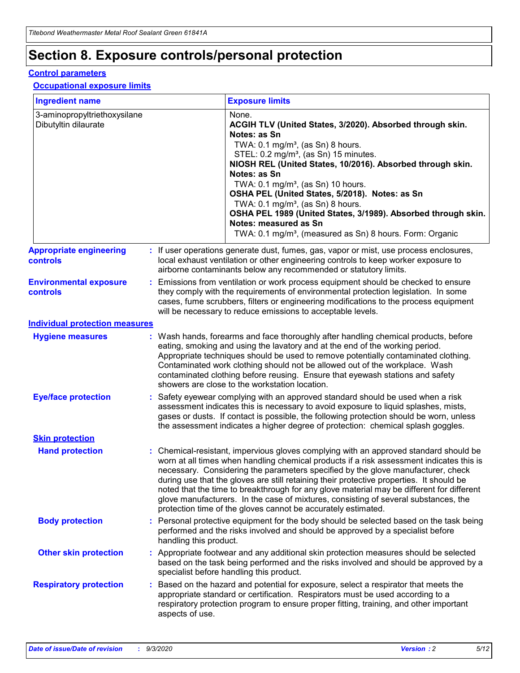# **Section 8. Exposure controls/personal protection**

#### **Control parameters**

#### **Occupational exposure limits**

| <b>Ingredient name</b>                               |    |                        | <b>Exposure limits</b>                                                                                                                                                                                                                                                                                                                                                                                                                                                                                                                                                                                                 |
|------------------------------------------------------|----|------------------------|------------------------------------------------------------------------------------------------------------------------------------------------------------------------------------------------------------------------------------------------------------------------------------------------------------------------------------------------------------------------------------------------------------------------------------------------------------------------------------------------------------------------------------------------------------------------------------------------------------------------|
| 3-aminopropyltriethoxysilane<br>Dibutyltin dilaurate |    |                        | None.<br>ACGIH TLV (United States, 3/2020). Absorbed through skin.<br>Notes: as Sn<br>TWA: $0.1 \text{ mg/m}^3$ , (as Sn) 8 hours.<br>STEL: 0.2 mg/m <sup>3</sup> , (as Sn) 15 minutes.<br>NIOSH REL (United States, 10/2016). Absorbed through skin.<br>Notes: as Sn<br>TWA: 0.1 mg/m <sup>3</sup> , (as Sn) 10 hours.<br>OSHA PEL (United States, 5/2018). Notes: as Sn<br>TWA: $0.1 \text{ mg/m}^3$ , (as Sn) 8 hours.<br>OSHA PEL 1989 (United States, 3/1989). Absorbed through skin.<br>Notes: measured as Sn<br>TWA: 0.1 mg/m <sup>3</sup> , (measured as Sn) 8 hours. Form: Organic                            |
| <b>Appropriate engineering</b><br>controls           |    |                        | : If user operations generate dust, fumes, gas, vapor or mist, use process enclosures,<br>local exhaust ventilation or other engineering controls to keep worker exposure to<br>airborne contaminants below any recommended or statutory limits.                                                                                                                                                                                                                                                                                                                                                                       |
| <b>Environmental exposure</b><br>controls            |    |                        | Emissions from ventilation or work process equipment should be checked to ensure<br>they comply with the requirements of environmental protection legislation. In some<br>cases, fume scrubbers, filters or engineering modifications to the process equipment<br>will be necessary to reduce emissions to acceptable levels.                                                                                                                                                                                                                                                                                          |
| <b>Individual protection measures</b>                |    |                        |                                                                                                                                                                                                                                                                                                                                                                                                                                                                                                                                                                                                                        |
| <b>Hygiene measures</b>                              |    |                        | : Wash hands, forearms and face thoroughly after handling chemical products, before<br>eating, smoking and using the lavatory and at the end of the working period.<br>Appropriate techniques should be used to remove potentially contaminated clothing.<br>Contaminated work clothing should not be allowed out of the workplace. Wash<br>contaminated clothing before reusing. Ensure that eyewash stations and safety<br>showers are close to the workstation location.                                                                                                                                            |
| <b>Eye/face protection</b>                           |    |                        | : Safety eyewear complying with an approved standard should be used when a risk<br>assessment indicates this is necessary to avoid exposure to liquid splashes, mists,<br>gases or dusts. If contact is possible, the following protection should be worn, unless<br>the assessment indicates a higher degree of protection: chemical splash goggles.                                                                                                                                                                                                                                                                  |
| <b>Skin protection</b>                               |    |                        |                                                                                                                                                                                                                                                                                                                                                                                                                                                                                                                                                                                                                        |
| <b>Hand protection</b>                               |    |                        | : Chemical-resistant, impervious gloves complying with an approved standard should be<br>worn at all times when handling chemical products if a risk assessment indicates this is<br>necessary. Considering the parameters specified by the glove manufacturer, check<br>during use that the gloves are still retaining their protective properties. It should be<br>noted that the time to breakthrough for any glove material may be different for different<br>glove manufacturers. In the case of mixtures, consisting of several substances, the<br>protection time of the gloves cannot be accurately estimated. |
| <b>Body protection</b>                               |    | handling this product. | Personal protective equipment for the body should be selected based on the task being<br>performed and the risks involved and should be approved by a specialist before                                                                                                                                                                                                                                                                                                                                                                                                                                                |
| <b>Other skin protection</b>                         |    |                        | : Appropriate footwear and any additional skin protection measures should be selected<br>based on the task being performed and the risks involved and should be approved by a<br>specialist before handling this product.                                                                                                                                                                                                                                                                                                                                                                                              |
| <b>Respiratory protection</b>                        | ÷. | aspects of use.        | Based on the hazard and potential for exposure, select a respirator that meets the<br>appropriate standard or certification. Respirators must be used according to a<br>respiratory protection program to ensure proper fitting, training, and other important                                                                                                                                                                                                                                                                                                                                                         |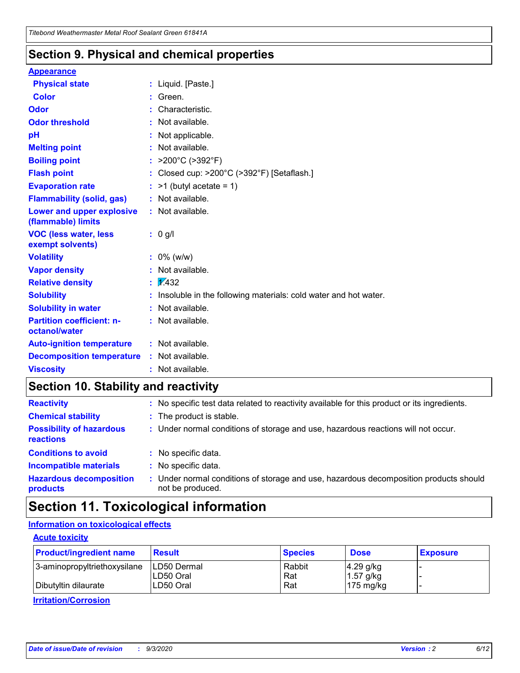### **Section 9. Physical and chemical properties**

#### **Appearance**

| <b>Physical state</b>                             |   | : Liquid. [Paste.]                                              |
|---------------------------------------------------|---|-----------------------------------------------------------------|
| <b>Color</b>                                      |   | Green.                                                          |
| Odor                                              |   | Characteristic.                                                 |
| <b>Odor threshold</b>                             | ÷ | Not available.                                                  |
| рH                                                |   | Not applicable.                                                 |
| <b>Melting point</b>                              |   | : Not available.                                                |
| <b>Boiling point</b>                              |   | >200°C (>392°F)                                                 |
| <b>Flash point</b>                                |   | Closed cup: >200°C (>392°F) [Setaflash.]                        |
| <b>Evaporation rate</b>                           |   | $:$ >1 (butyl acetate = 1)                                      |
| <b>Flammability (solid, gas)</b>                  |   | : Not available.                                                |
| Lower and upper explosive<br>(flammable) limits   |   | : Not available.                                                |
| <b>VOC (less water, less)</b><br>exempt solvents) |   | : 0 g/l                                                         |
| <b>Volatility</b>                                 |   | $: 0\%$ (w/w)                                                   |
| <b>Vapor density</b>                              |   | Not available.                                                  |
| <b>Relative density</b>                           |   | $\mathbf{1}$ $\mathbf{\sqrt{432}}$                              |
| <b>Solubility</b>                                 |   | Insoluble in the following materials: cold water and hot water. |
| <b>Solubility in water</b>                        |   | Not available.                                                  |
| <b>Partition coefficient: n-</b><br>octanol/water |   | $:$ Not available.                                              |
| <b>Auto-ignition temperature</b>                  |   | : Not available.                                                |
| <b>Decomposition temperature</b>                  |   | : Not available.                                                |
| <b>Viscosity</b>                                  |   | $:$ Not available.                                              |

### **Section 10. Stability and reactivity**

| <b>Reactivity</b>                            |    | : No specific test data related to reactivity available for this product or its ingredients.            |
|----------------------------------------------|----|---------------------------------------------------------------------------------------------------------|
| <b>Chemical stability</b>                    |    | : The product is stable.                                                                                |
| <b>Possibility of hazardous</b><br>reactions |    | : Under normal conditions of storage and use, hazardous reactions will not occur.                       |
| <b>Conditions to avoid</b>                   |    | : No specific data.                                                                                     |
| <b>Incompatible materials</b>                | ٠. | No specific data.                                                                                       |
| <b>Hazardous decomposition</b><br>products   | ÷. | Under normal conditions of storage and use, hazardous decomposition products should<br>not be produced. |

## **Section 11. Toxicological information**

#### **Information on toxicological effects**

#### **Acute toxicity**

| <b>Product/ingredient name</b> | <b>Result</b>           | <b>Species</b> | <b>Dose</b>                | <b>Exposure</b> |
|--------------------------------|-------------------------|----------------|----------------------------|-----------------|
| 3-aminopropyltriethoxysilane   | <b>ILD50 Dermal</b>     | Rabbit         | 4.29 g/kg                  |                 |
| Dibutyltin dilaurate           | ILD50 Oral<br>LD50 Oral | Rat<br>Rat     | $1.57$ g/kg<br>175 $mg/kg$ |                 |
|                                |                         |                |                            |                 |

**Irritation/Corrosion**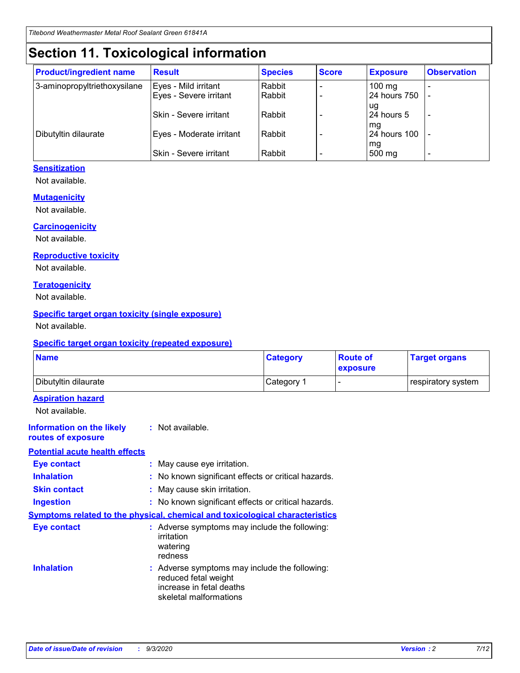# **Section 11. Toxicological information**

| <b>Product/ingredient name</b> | <b>Result</b>            | <b>Species</b> | <b>Score</b> | <b>Exposure</b>    | <b>Observation</b> |
|--------------------------------|--------------------------|----------------|--------------|--------------------|--------------------|
| 3-aminopropyltriethoxysilane   | Eyes - Mild irritant     | Rabbit         |              | $100 \text{ mg}$   |                    |
|                                | Eyes - Severe irritant   | Rabbit         |              | 24 hours 750       |                    |
|                                |                          |                |              | ug                 |                    |
|                                | Skin - Severe irritant   | Rabbit         |              | 24 hours 5         | -                  |
| Dibutyltin dilaurate           | Eyes - Moderate irritant | Rabbit         |              | mg<br>24 hours 100 |                    |
|                                |                          |                |              | mg                 |                    |
|                                | Skin - Severe irritant   | Rabbit         |              | 500 mg             | -                  |

#### **Sensitization**

Not available.

#### **Mutagenicity**

Not available.

#### **Carcinogenicity**

Not available.

#### **Reproductive toxicity**

Not available.

#### **Teratogenicity**

Not available.

#### **Specific target organ toxicity (single exposure)**

Not available.

#### **Specific target organ toxicity (repeated exposure)**

| <b>Name</b>                                                                  |                                                                                                                             | <b>Category</b> | <b>Route of</b><br>exposure | <b>Target organs</b> |
|------------------------------------------------------------------------------|-----------------------------------------------------------------------------------------------------------------------------|-----------------|-----------------------------|----------------------|
| Dibutyltin dilaurate                                                         |                                                                                                                             | Category 1      | $\overline{\phantom{0}}$    | respiratory system   |
| <b>Aspiration hazard</b><br>Not available.                                   |                                                                                                                             |                 |                             |                      |
| <b>Information on the likely</b><br>routes of exposure                       | : Not available.                                                                                                            |                 |                             |                      |
| <b>Potential acute health effects</b>                                        |                                                                                                                             |                 |                             |                      |
| <b>Eye contact</b>                                                           | : May cause eye irritation.                                                                                                 |                 |                             |                      |
| <b>Inhalation</b>                                                            | : No known significant effects or critical hazards.                                                                         |                 |                             |                      |
| <b>Skin contact</b>                                                          | : May cause skin irritation.                                                                                                |                 |                             |                      |
| <b>Ingestion</b>                                                             | : No known significant effects or critical hazards.                                                                         |                 |                             |                      |
| Symptoms related to the physical, chemical and toxicological characteristics |                                                                                                                             |                 |                             |                      |
| <b>Eye contact</b>                                                           | : Adverse symptoms may include the following:<br>irritation<br>watering<br>redness                                          |                 |                             |                      |
| <b>Inhalation</b>                                                            | : Adverse symptoms may include the following:<br>reduced fetal weight<br>increase in fetal deaths<br>skeletal malformations |                 |                             |                      |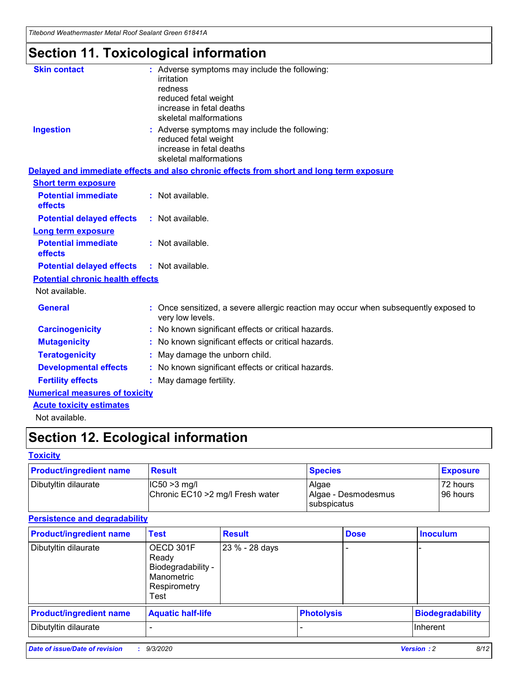*Titebond Weathermaster Metal Roof Sealant Green 61841A*

# **Section 11. Toxicological information**

| <b>Skin contact</b>                     | : Adverse symptoms may include the following:<br>irritation<br>redness<br>reduced fetal weight<br>increase in fetal deaths<br>skeletal malformations |  |
|-----------------------------------------|------------------------------------------------------------------------------------------------------------------------------------------------------|--|
| <b>Ingestion</b>                        | : Adverse symptoms may include the following:<br>reduced fetal weight<br>increase in fetal deaths<br>skeletal malformations                          |  |
|                                         | Delayed and immediate effects and also chronic effects from short and long term exposure                                                             |  |
| <b>Short term exposure</b>              |                                                                                                                                                      |  |
| <b>Potential immediate</b><br>effects   | : Not available.                                                                                                                                     |  |
| <b>Potential delayed effects</b>        | : Not available.                                                                                                                                     |  |
| <b>Long term exposure</b>               |                                                                                                                                                      |  |
| <b>Potential immediate</b><br>effects   | : Not available.                                                                                                                                     |  |
| <b>Potential delayed effects</b>        | : Not available.                                                                                                                                     |  |
| <b>Potential chronic health effects</b> |                                                                                                                                                      |  |
| Not available.                          |                                                                                                                                                      |  |
| <b>General</b>                          | Once sensitized, a severe allergic reaction may occur when subsequently exposed to<br>very low levels.                                               |  |
| <b>Carcinogenicity</b>                  | No known significant effects or critical hazards.                                                                                                    |  |
| <b>Mutagenicity</b>                     | : No known significant effects or critical hazards.                                                                                                  |  |
| <b>Teratogenicity</b>                   | May damage the unborn child.                                                                                                                         |  |
| <b>Developmental effects</b>            | : No known significant effects or critical hazards.                                                                                                  |  |
| <b>Fertility effects</b>                | : May damage fertility.                                                                                                                              |  |
| <b>Numerical measures of toxicity</b>   |                                                                                                                                                      |  |
| <b>Acute toxicity estimates</b>         |                                                                                                                                                      |  |
| Not ovoilable                           |                                                                                                                                                      |  |

Not available.

# **Section 12. Ecological information**

#### **Toxicity**

| <b>Product/ingredient name</b> | <b>Result</b>                                       | <b>Species</b>               | <b>Exposure</b>       |
|--------------------------------|-----------------------------------------------------|------------------------------|-----------------------|
| Dibutyltin dilaurate           | $ CC50>3$ mg/l<br>Chronic EC10 > 2 mg/l Fresh water | Algae<br>Algae - Desmodesmus | 72 hours<br>196 hours |
|                                |                                                     | <b>I</b> subspicatus         |                       |

#### **Persistence and degradability**

| <b>Product/ingredient name</b> | <b>Test</b>                                                                    | <b>Result</b>  |                   | <b>Dose</b> | <b>Inoculum</b>         |
|--------------------------------|--------------------------------------------------------------------------------|----------------|-------------------|-------------|-------------------------|
| Dibutyltin dilaurate           | OECD 301F<br>Ready<br>Biodegradability -<br>Manometric<br>Respirometry<br>Test | 23 % - 28 days |                   |             |                         |
| <b>Product/ingredient name</b> | <b>Aquatic half-life</b>                                                       |                | <b>Photolysis</b> |             | <b>Biodegradability</b> |
| Dibutyltin dilaurate           |                                                                                |                |                   |             | <b>Inherent</b>         |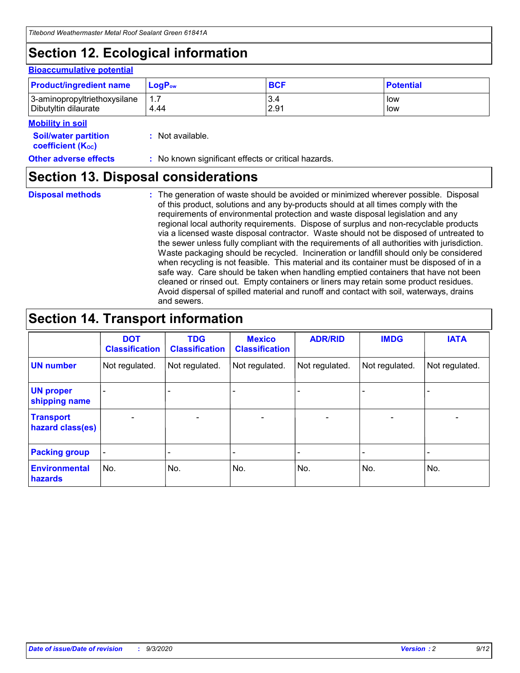# **Section 12. Ecological information**

#### **Bioaccumulative potential**

| <b>Product/ingredient name</b> | $\mathsf{LogP}_\mathsf{ow}$ | <b>BCF</b> | <b>Potential</b> |
|--------------------------------|-----------------------------|------------|------------------|
| 3-aminopropyltriethoxysilane   | 1.7                         | 3.4        | low              |
| Dibutyltin dilaurate           | 4.44                        | 2.91       | low              |

#### **Mobility in soil**

| <b>Soil/water partition</b> | $:$ Not available. |
|-----------------------------|--------------------|
| <b>coefficient (Koc)</b>    |                    |

| <b>Other adverse effects</b><br>: No known significant effects or critical hazards. |
|-------------------------------------------------------------------------------------|
|-------------------------------------------------------------------------------------|

### **Section 13. Disposal considerations**

**Disposal methods :**

The generation of waste should be avoided or minimized wherever possible. Disposal of this product, solutions and any by-products should at all times comply with the requirements of environmental protection and waste disposal legislation and any regional local authority requirements. Dispose of surplus and non-recyclable products via a licensed waste disposal contractor. Waste should not be disposed of untreated to the sewer unless fully compliant with the requirements of all authorities with jurisdiction. Waste packaging should be recycled. Incineration or landfill should only be considered when recycling is not feasible. This material and its container must be disposed of in a safe way. Care should be taken when handling emptied containers that have not been cleaned or rinsed out. Empty containers or liners may retain some product residues. Avoid dispersal of spilled material and runoff and contact with soil, waterways, drains and sewers.

### **Section 14. Transport information**

|                                      | <b>DOT</b><br><b>Classification</b> | <b>TDG</b><br><b>Classification</b> | <b>Mexico</b><br><b>Classification</b> | <b>ADR/RID</b>           | <b>IMDG</b>              | <b>IATA</b>    |
|--------------------------------------|-------------------------------------|-------------------------------------|----------------------------------------|--------------------------|--------------------------|----------------|
| <b>UN number</b>                     | Not regulated.                      | Not regulated.                      | Not regulated.                         | Not regulated.           | Not regulated.           | Not regulated. |
| <b>UN proper</b><br>shipping name    |                                     |                                     |                                        |                          |                          |                |
| <b>Transport</b><br>hazard class(es) |                                     | $\overline{\phantom{0}}$            | $\qquad \qquad \blacksquare$           | $\overline{\phantom{0}}$ | $\overline{\phantom{0}}$ |                |
| <b>Packing group</b>                 |                                     |                                     |                                        |                          |                          |                |
| <b>Environmental</b><br>hazards      | No.                                 | No.                                 | No.                                    | No.                      | No.                      | No.            |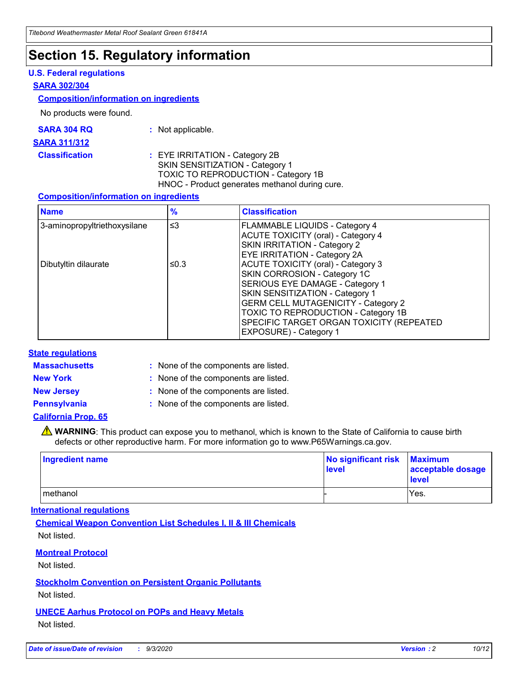### **Section 15. Regulatory information**

#### **U.S. Federal regulations**

#### **SARA 302/304**

#### **Composition/information on ingredients**

No products were found.

| SARA 304 RQ | Not applicable. |
|-------------|-----------------|
|-------------|-----------------|

#### **SARA 311/312**

**Classification :** EYE IRRITATION - Category 2B SKIN SENSITIZATION - Category 1 TOXIC TO REPRODUCTION - Category 1B HNOC - Product generates methanol during cure.

#### **Composition/information on ingredients**

| <b>Name</b>                  | $\frac{9}{6}$ | <b>Classification</b>                                                                                                                                                                                                                                                                                      |
|------------------------------|---------------|------------------------------------------------------------------------------------------------------------------------------------------------------------------------------------------------------------------------------------------------------------------------------------------------------------|
| 3-aminopropyltriethoxysilane | $\leq$ 3      | <b>FLAMMABLE LIQUIDS - Category 4</b><br><b>ACUTE TOXICITY (oral) - Category 4</b><br><b>SKIN IRRITATION - Category 2</b><br>EYE IRRITATION - Category 2A                                                                                                                                                  |
| Dibutyltin dilaurate         | ≤0.3          | <b>ACUTE TOXICITY (oral) - Category 3</b><br>SKIN CORROSION - Category 1C<br>SERIOUS EYE DAMAGE - Category 1<br>SKIN SENSITIZATION - Category 1<br><b>GERM CELL MUTAGENICITY - Category 2</b><br>TOXIC TO REPRODUCTION - Category 1B<br>SPECIFIC TARGET ORGAN TOXICITY (REPEATED<br>EXPOSURE) - Category 1 |

#### **State regulations**

**Massachusetts :**

: None of the components are listed.

**New York :** None of the components are listed. **New Jersey :** None of the components are listed.

**Pennsylvania :** None of the components are listed.

#### **California Prop. 65**

WARNING: This product can expose you to methanol, which is known to the State of California to cause birth defects or other reproductive harm. For more information go to www.P65Warnings.ca.gov.

| Ingredient name | No significant risk Maximum<br>level | acceptable dosage<br><b>level</b> |
|-----------------|--------------------------------------|-----------------------------------|
| I methanol      |                                      | Yes.                              |

#### **International regulations**

**Chemical Weapon Convention List Schedules I, II & III Chemicals** Not listed.

#### **Montreal Protocol**

Not listed.

**Stockholm Convention on Persistent Organic Pollutants**

Not listed.

#### **UNECE Aarhus Protocol on POPs and Heavy Metals** Not listed.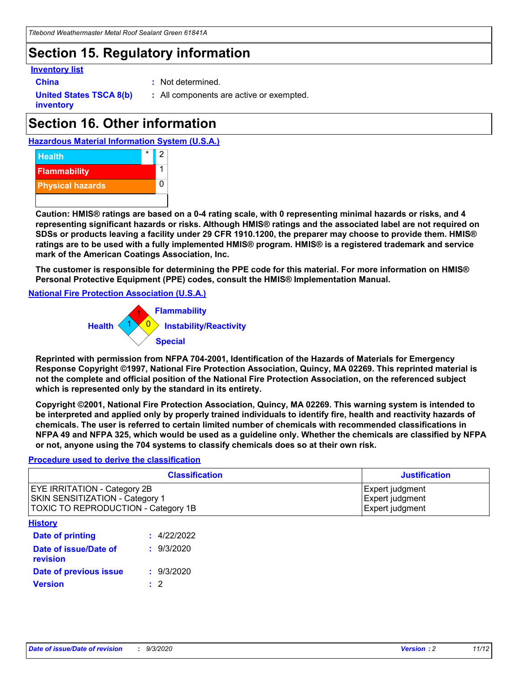## **Section 15. Regulatory information**

#### **Inventory list**

- 
- **China :** Not determined.

**United States TSCA 8(b) inventory**

**:** All components are active or exempted.

# **Section 16. Other information**





**Caution: HMIS® ratings are based on a 0-4 rating scale, with 0 representing minimal hazards or risks, and 4 representing significant hazards or risks. Although HMIS® ratings and the associated label are not required on SDSs or products leaving a facility under 29 CFR 1910.1200, the preparer may choose to provide them. HMIS® ratings are to be used with a fully implemented HMIS® program. HMIS® is a registered trademark and service mark of the American Coatings Association, Inc.**

**The customer is responsible for determining the PPE code for this material. For more information on HMIS® Personal Protective Equipment (PPE) codes, consult the HMIS® Implementation Manual.**

**National Fire Protection Association (U.S.A.)**



**Reprinted with permission from NFPA 704-2001, Identification of the Hazards of Materials for Emergency Response Copyright ©1997, National Fire Protection Association, Quincy, MA 02269. This reprinted material is not the complete and official position of the National Fire Protection Association, on the referenced subject which is represented only by the standard in its entirety.**

**Copyright ©2001, National Fire Protection Association, Quincy, MA 02269. This warning system is intended to be interpreted and applied only by properly trained individuals to identify fire, health and reactivity hazards of chemicals. The user is referred to certain limited number of chemicals with recommended classifications in NFPA 49 and NFPA 325, which would be used as a guideline only. Whether the chemicals are classified by NFPA or not, anyone using the 704 systems to classify chemicals does so at their own risk.**

#### **Procedure used to derive the classification**

| <b>Classification</b>                                                                                         | <b>Justification</b>                                  |
|---------------------------------------------------------------------------------------------------------------|-------------------------------------------------------|
| <b>EYE IRRITATION - Category 2B</b><br>SKIN SENSITIZATION - Category 1<br>TOXIC TO REPRODUCTION - Category 1B | Expert judgment<br>Expert judgment<br>Expert judgment |
| <b>History</b>                                                                                                |                                                       |

| .                                 |             |
|-----------------------------------|-------------|
| <b>Date of printing</b>           | : 4/22/2022 |
| Date of issue/Date of<br>revision | : 9/3/2020  |
| Date of previous issue            | : 9/3/2020  |
| <b>Version</b>                    | $\cdot$ 2   |
|                                   |             |